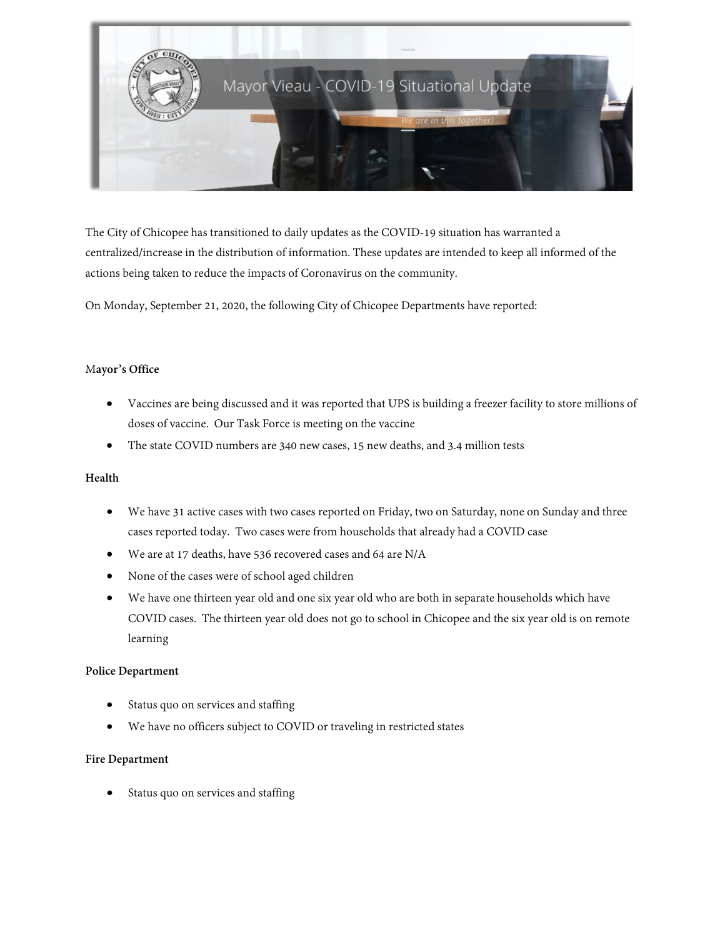

The City of Chicopee has transitioned to daily updates as the COVID-19 situation has warranted a centralized/increase in the distribution of information. These updates are intended to keep all informed of the actions being taken to reduce the impacts of Coronavirus on the community.

On Monday, September 21, 2020, the following City of Chicopee Departments have reported:

### M**ayor's Office**

- Vaccines are being discussed and it was reported that UPS is building a freezer facility to store millions of doses of vaccine. Our Task Force is meeting on the vaccine
- The state COVID numbers are 340 new cases, 15 new deaths, and 3.4 million tests

#### **Health**

- We have 31 active cases with two cases reported on Friday, two on Saturday, none on Sunday and three cases reported today. Two cases were from households that already had a COVID case
- We are at 17 deaths, have 536 recovered cases and 64 are N/A
- None of the cases were of school aged children
- We have one thirteen year old and one six year old who are both in separate households which have COVID cases. The thirteen year old does not go to school in Chicopee and the six year old is on remote learning

# **Police Department**

- Status quo on services and staffing
- We have no officers subject to COVID or traveling in restricted states

#### **Fire Department**

• Status quo on services and staffing